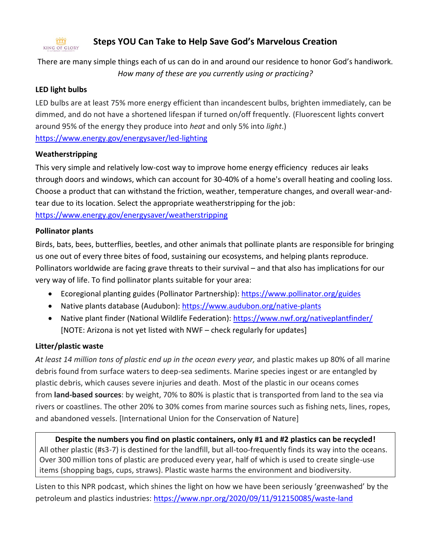#### KING OF GLORY **Steps YOU Can Take to Help Save God's Marvelous Creation**

There are many simple things each of us can do in and around our residence to honor God's handiwork. *How many of these are you currently using or practicing?*

## **LED light bulbs**

LED bulbs are at least 75% more energy efficient than incandescent bulbs, brighten immediately, can be dimmed, and do not have a shortened lifespan if turned on/off frequently. (Fluorescent lights convert around 95% of the energy they produce into *heat* and only 5% into *light*.) <https://www.energy.gov/energysaver/led-lighting>

## **Weatherstripping**

This very simple and relatively low-cost way to improve home energy [efficiency](https://energyeducation.ca/encyclopedia/Efficiency) reduces [air](https://energyeducation.ca/encyclopedia/Air) leaks through [doors](https://energyeducation.ca/encyclopedia/Door) and [windows,](https://energyeducation.ca/encyclopedia/Window) which can account for 30-40% of a home's overall heating and cooling loss. Choose a product that can withstand the friction, weather, temperature changes, and overall wear-andtear due to its location. Select the appropriate weatherstripping for the job: <https://www.energy.gov/energysaver/weatherstripping>

#### **Pollinator plants**

Birds, bats, bees, butterflies, beetles, and other animals that pollinate plants are responsible for bringing us one out of every three bites of food, sustaining our ecosystems, and helping plants reproduce. Pollinators worldwide are facing grave threats to their survival – and that also has implications for our very way of life. To find pollinator plants suitable for your area:

- Ecoregional planting guides (Pollinator Partnership): <https://www.pollinator.org/guides>
- Native plants database (Audubon):<https://www.audubon.org/native-plants>
- Native plant finder (National Wildlife Federation):<https://www.nwf.org/nativeplantfinder/> [NOTE: Arizona is not yet listed with NWF – check regularly for updates]

# **Litter/plastic waste**

*At least 14 million tons of plastic end up in the ocean every year,* and plastic makes up 80% of all marine debris found from surface waters to deep-sea sediments. Marine species ingest or are entangled by plastic debris, which causes severe injuries and death. Most of the plastic in our oceans comes from **land-based sources**: by weight, 70% to 80% is plastic that is transported from land to the sea via rivers or coastlines. The other 20% to 30% comes from marine sources such as fishing nets, lines, ropes, and abandoned vessels. [International Union for the Conservation of Nature]

**Despite the numbers you find on plastic containers, only #1 and #2 plastics can be recycled!** All other plastic (#s3-7) is destined for the landfill, but all-too-frequently finds its way into the oceans. Over 300 million tons of plastic are produced every year, half of which is used to create single-use items (shopping bags, cups, straws). Plastic waste harms the environment and biodiversity.

Listen to this NPR podcast, which shines the light on how we have been seriously 'greenwashed' by the petroleum and plastics industries:<https://www.npr.org/2020/09/11/912150085/waste-land>